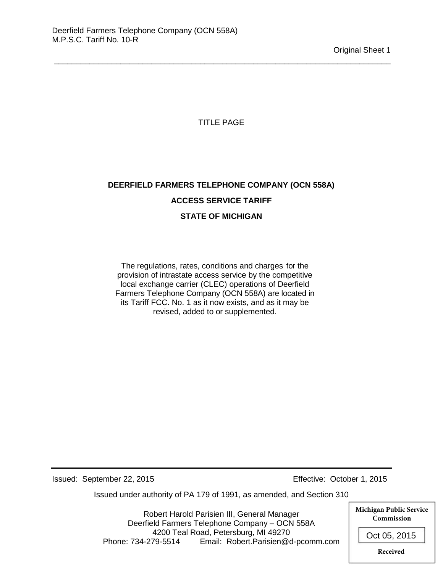TITLE PAGE

\_\_\_\_\_\_\_\_\_\_\_\_\_\_\_\_\_\_\_\_\_\_\_\_\_\_\_\_\_\_\_\_\_\_\_\_\_\_\_\_\_\_\_\_\_\_\_\_\_\_\_\_\_\_\_\_\_\_\_\_\_\_\_\_\_\_\_\_\_\_\_\_\_\_\_\_

# **DEERFIELD FARMERS TELEPHONE COMPANY (OCN 558A) ACCESS SERVICE TARIFF STATE OF MICHIGAN**

The regulations, rates, conditions and charges for the provision of intrastate access service by the competitive local exchange carrier (CLEC) operations of Deerfield Farmers Telephone Company (OCN 558A) are located in its Tariff FCC. No. 1 as it now exists, and as it may be revised, added to or supplemented.

Issued: September 22, 2015 Effective: October 1, 2015

Issued under authority of PA 179 of 1991, as amended, and Section 310

Robert Harold Parisien III, General Manager Deerfield Farmers Telephone Company – OCN 558A 4200 Teal Road, Petersburg, MI 49270 Phone: 734-279-5514 Email: Robert.Parisien@d-pcomm.com **Michigan Public Service Commission** Oct 05, 2015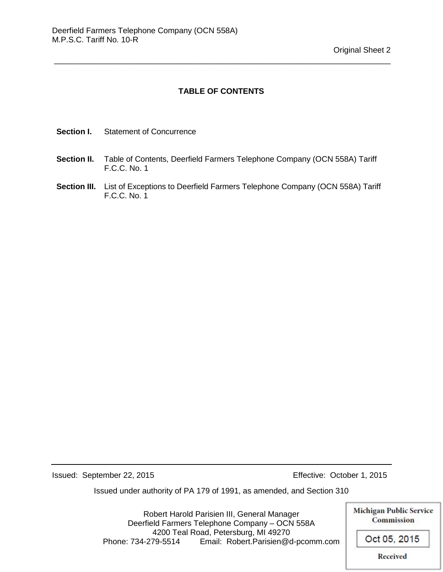#### **TABLE OF CONTENTS**

\_\_\_\_\_\_\_\_\_\_\_\_\_\_\_\_\_\_\_\_\_\_\_\_\_\_\_\_\_\_\_\_\_\_\_\_\_\_\_\_\_\_\_\_\_\_\_\_\_\_\_\_\_\_\_\_\_\_\_\_\_\_\_\_\_\_\_\_\_\_\_\_\_\_\_\_

- **Section I.** Statement of Concurrence
- **Section II.** Table of Contents, Deerfield Farmers Telephone Company (OCN 558A) Tariff F.C.C. No. 1
- **Section III.** List of Exceptions to Deerfield Farmers Telephone Company (OCN 558A) Tariff F.C.C. No. 1

Issued: September 22, 2015 Effective: October 1, 2015

Issued under authority of PA 179 of 1991, as amended, and Section 310

Robert Harold Parisien III, General Manager Deerfield Farmers Telephone Company – OCN 558A 4200 Teal Road, Petersburg, MI 49270 Phone: 734-279-5514 Email: Robert.Parisien@d-pcomm.com

**Michigan Public Service** Commission Oct 05, 2015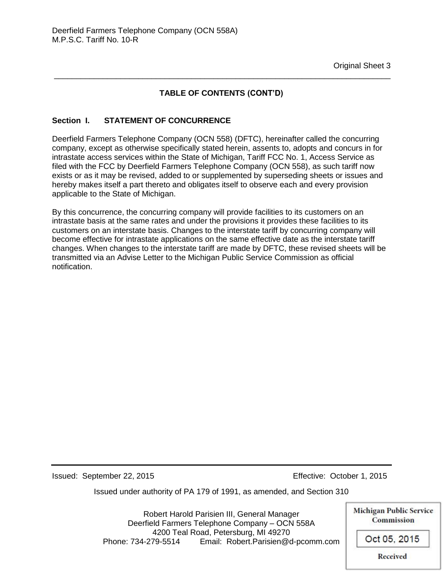### **TABLE OF CONTENTS (CONT'D)**

\_\_\_\_\_\_\_\_\_\_\_\_\_\_\_\_\_\_\_\_\_\_\_\_\_\_\_\_\_\_\_\_\_\_\_\_\_\_\_\_\_\_\_\_\_\_\_\_\_\_\_\_\_\_\_\_\_\_\_\_\_\_\_\_\_\_\_\_\_\_\_\_\_\_\_\_

#### **Section I. STATEMENT OF CONCURRENCE**

Deerfield Farmers Telephone Company (OCN 558) (DFTC), hereinafter called the concurring company, except as otherwise specifically stated herein, assents to, adopts and concurs in for intrastate access services within the State of Michigan, Tariff FCC No. 1, Access Service as filed with the FCC by Deerfield Farmers Telephone Company (OCN 558), as such tariff now exists or as it may be revised, added to or supplemented by superseding sheets or issues and hereby makes itself a part thereto and obligates itself to observe each and every provision applicable to the State of Michigan.

By this concurrence, the concurring company will provide facilities to its customers on an intrastate basis at the same rates and under the provisions it provides these facilities to its customers on an interstate basis. Changes to the interstate tariff by concurring company will become effective for intrastate applications on the same effective date as the interstate tariff changes. When changes to the interstate tariff are made by DFTC, these revised sheets will be transmitted via an Advise Letter to the Michigan Public Service Commission as official notification.

Issued: September 22, 2015 Effective: October 1, 2015

Issued under authority of PA 179 of 1991, as amended, and Section 310

Robert Harold Parisien III, General Manager Deerfield Farmers Telephone Company – OCN 558A 4200 Teal Road, Petersburg, MI 49270 Phone: 734-279-5514 Email: Robert.Parisien@d-pcomm.com **Michigan Public Service Commission** Oct 05, 2015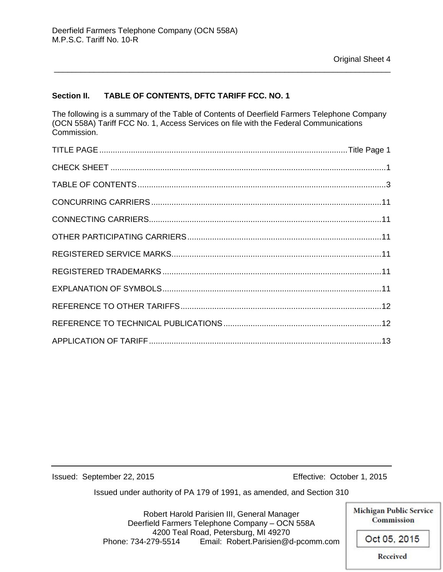#### **Section II. TABLE OF CONTENTS, DFTC TARIFF FCC. NO. 1**

The following is a summary of the Table of Contents of Deerfield Farmers Telephone Company (OCN 558A) Tariff FCC No. 1, Access Services on file with the Federal Communications Commission.

\_\_\_\_\_\_\_\_\_\_\_\_\_\_\_\_\_\_\_\_\_\_\_\_\_\_\_\_\_\_\_\_\_\_\_\_\_\_\_\_\_\_\_\_\_\_\_\_\_\_\_\_\_\_\_\_\_\_\_\_\_\_\_\_\_\_\_\_\_\_\_\_\_\_\_\_

Issued: September 22, 2015 Effective: October 1, 2015

Issued under authority of PA 179 of 1991, as amended, and Section 310

Robert Harold Parisien III, General Manager Deerfield Farmers Telephone Company – OCN 558A 4200 Teal Road, Petersburg, MI 49270 Phone: 734-279-5514 Email: Robert.Parisien@d-pcomm.com **Michigan Public Service** Commission Oct 05, 2015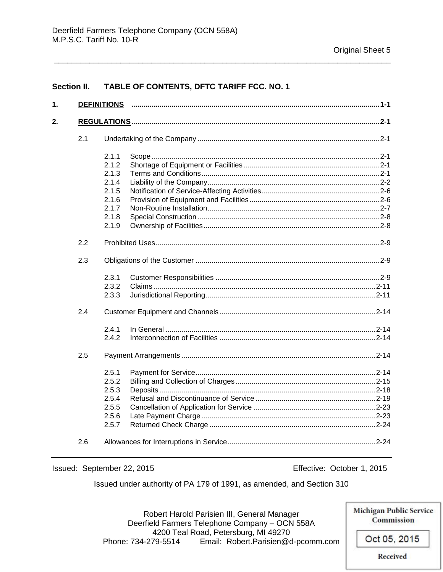#### **Section II.** TABLE OF CONTENTS, DFTC TARIFF FCC. NO. 1

| 1. |     |       |  |
|----|-----|-------|--|
| 2. |     |       |  |
|    | 2.1 |       |  |
|    |     | 2.1.1 |  |
|    |     | 2.1.2 |  |
|    |     | 2.1.3 |  |
|    |     | 2.1.4 |  |
|    |     | 2.1.5 |  |
|    |     | 2.1.6 |  |
|    |     | 2.1.7 |  |
|    |     | 2.1.8 |  |
|    |     | 2.1.9 |  |
|    | 2.2 |       |  |
|    | 2.3 |       |  |
|    |     | 2.3.1 |  |
|    |     | 2.3.2 |  |
|    |     | 2.3.3 |  |
|    | 2.4 |       |  |
|    |     | 2.4.1 |  |
|    |     | 2.4.2 |  |
|    | 2.5 |       |  |
|    |     | 2.5.1 |  |
|    |     | 2.5.2 |  |
|    |     | 2.5.3 |  |
|    |     | 2.5.4 |  |
|    |     | 2.5.5 |  |
|    |     | 2.5.6 |  |
|    |     | 2.5.7 |  |
|    | 2.6 |       |  |

Issued: September 22, 2015

Effective: October 1, 2015

Issued under authority of PA 179 of 1991, as amended, and Section 310

**Michigan Public Service** Robert Harold Parisien III, General Manager Commission Deerfield Farmers Telephone Company - OCN 558A 4200 Teal Road, Petersburg, MI 49270 Oct 05, 2015 Email: Robert.Parisien@d-pcomm.com Phone: 734-279-5514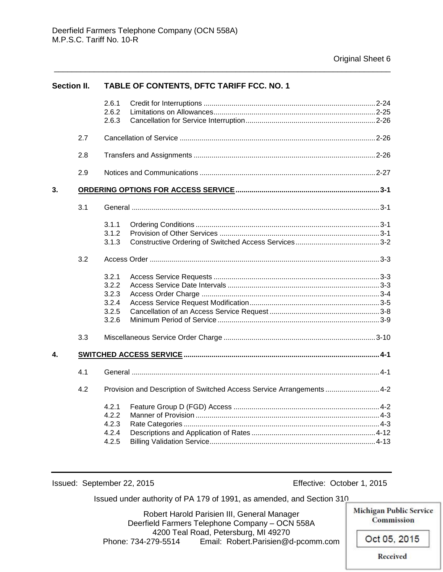| <b>Section II.</b> |     | TABLE OF CONTENTS, DFTC TARIFF FCC. NO. 1          |                                                                        |  |  |
|--------------------|-----|----------------------------------------------------|------------------------------------------------------------------------|--|--|
|                    |     | 2.6.1<br>2.6.2<br>2.6.3                            |                                                                        |  |  |
|                    | 2.7 |                                                    |                                                                        |  |  |
|                    | 2.8 |                                                    |                                                                        |  |  |
|                    | 2.9 |                                                    |                                                                        |  |  |
| 3.                 |     |                                                    |                                                                        |  |  |
|                    | 3.1 |                                                    |                                                                        |  |  |
|                    |     | 3.1.1<br>3.1.2<br>3.1.3                            |                                                                        |  |  |
|                    | 3.2 |                                                    |                                                                        |  |  |
|                    |     | 3.2.1<br>3.2.2<br>3.2.3<br>3.2.4<br>3.2.5<br>3.2.6 |                                                                        |  |  |
|                    | 3.3 |                                                    |                                                                        |  |  |
| 4.                 |     |                                                    |                                                                        |  |  |
|                    | 4.1 |                                                    |                                                                        |  |  |
|                    | 4.2 |                                                    | Provision and Description of Switched Access Service Arrangements  4-2 |  |  |
|                    |     | 4.2.1<br>4.2.2<br>4.2.3<br>4.2.4<br>4.2.5          |                                                                        |  |  |

\_\_\_\_\_\_\_\_\_\_\_\_\_\_\_\_\_\_\_\_\_\_\_\_\_\_\_\_\_\_\_\_\_\_\_\_\_\_\_\_\_\_\_\_\_\_\_\_\_\_\_\_\_\_\_\_\_\_\_\_\_\_\_\_\_\_\_\_\_\_\_\_\_\_\_\_

Issued: September 22, 2015 Effective: October 1, 2015

Issued under authority of PA 179 of 1991, as amended, and Section 310

Robert Harold Parisien III, General Manager Deerfield Farmers Telephone Company – OCN 558A 4200 Teal Road, Petersburg, MI 49270 Phone: 734-279-5514 Email: Robert.Parisien@d-pcomm.com

**Michigan Public Service** Commission

Oct 05, 2015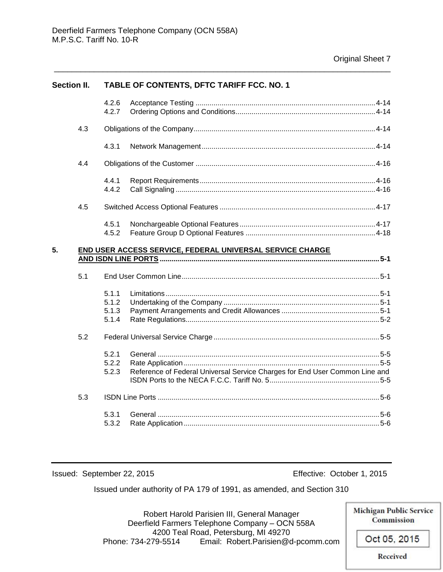| <b>Section II.</b> |     | <b>TABLE OF CONTENTS, DFTC TARIFF FCC. NO. 1</b>          |                                                                             |  |  |  |
|--------------------|-----|-----------------------------------------------------------|-----------------------------------------------------------------------------|--|--|--|
|                    |     | 4.2.6                                                     |                                                                             |  |  |  |
|                    |     | 4.2.7                                                     |                                                                             |  |  |  |
|                    | 4.3 |                                                           |                                                                             |  |  |  |
|                    |     | 4.3.1                                                     |                                                                             |  |  |  |
|                    | 4.4 |                                                           |                                                                             |  |  |  |
|                    |     | 4.4.1                                                     |                                                                             |  |  |  |
|                    |     | 4.4.2                                                     |                                                                             |  |  |  |
|                    | 4.5 |                                                           |                                                                             |  |  |  |
|                    |     | 4.5.1                                                     |                                                                             |  |  |  |
|                    |     | 4.5.2                                                     |                                                                             |  |  |  |
| 5.                 |     | END USER ACCESS SERVICE, FEDERAL UNIVERSAL SERVICE CHARGE |                                                                             |  |  |  |
|                    |     |                                                           |                                                                             |  |  |  |
|                    | 5.1 |                                                           |                                                                             |  |  |  |
|                    |     | 5.1.1                                                     |                                                                             |  |  |  |
|                    |     | 5.1.2                                                     |                                                                             |  |  |  |
|                    |     | 5.1.3                                                     |                                                                             |  |  |  |
|                    |     | 5.1.4                                                     |                                                                             |  |  |  |
|                    | 5.2 |                                                           |                                                                             |  |  |  |
|                    |     | 5.2.1                                                     |                                                                             |  |  |  |
|                    |     | 5.2.2                                                     |                                                                             |  |  |  |
|                    |     | 5.2.3                                                     | Reference of Federal Universal Service Charges for End User Common Line and |  |  |  |
|                    | 5.3 |                                                           |                                                                             |  |  |  |
|                    |     | 5.3.1                                                     |                                                                             |  |  |  |
|                    |     | 5.3.2                                                     |                                                                             |  |  |  |
|                    |     |                                                           |                                                                             |  |  |  |

\_\_\_\_\_\_\_\_\_\_\_\_\_\_\_\_\_\_\_\_\_\_\_\_\_\_\_\_\_\_\_\_\_\_\_\_\_\_\_\_\_\_\_\_\_\_\_\_\_\_\_\_\_\_\_\_\_\_\_\_\_\_\_\_\_\_\_\_\_\_\_\_\_\_\_\_

Issued: September 22, 2015 Effective: October 1, 2015

Issued under authority of PA 179 of 1991, as amended, and Section 310

**Michigan Public Service** Robert Harold Parisien III, General Manager Deerfield Farmers Telephone Company – OCN 558A 4200 Teal Road, Petersburg, MI 49270 Oct 05, 2015 Phone: 734-279-5514 Email: Robert.Parisien@d-pcomm.com

**Received** 

Commission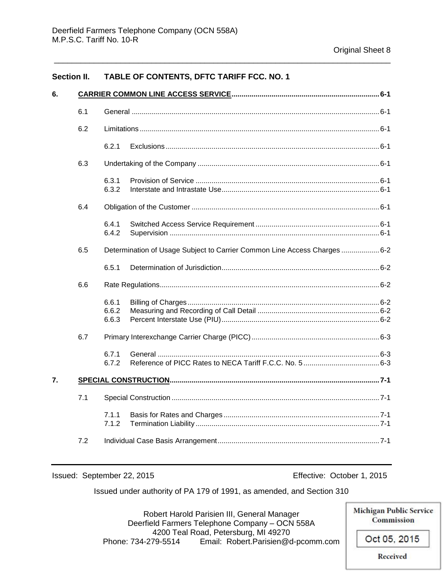#### **Section II. TABLE OF CONTENTS, DFTC TARIFF FCC. NO. 1**

| 6. |     |                         |                                                                           |  |  |
|----|-----|-------------------------|---------------------------------------------------------------------------|--|--|
|    | 6.1 |                         |                                                                           |  |  |
|    | 6.2 |                         |                                                                           |  |  |
|    |     | 6.2.1                   |                                                                           |  |  |
|    | 6.3 |                         |                                                                           |  |  |
|    |     | 6.3.1<br>6.3.2          |                                                                           |  |  |
|    | 6.4 |                         |                                                                           |  |  |
|    |     | 6.4.1<br>6.4.2          |                                                                           |  |  |
|    | 6.5 |                         | Determination of Usage Subject to Carrier Common Line Access Charges  6-2 |  |  |
|    |     | 6.5.1                   |                                                                           |  |  |
|    | 6.6 |                         |                                                                           |  |  |
|    |     | 6.6.1<br>6.6.2<br>6.6.3 |                                                                           |  |  |
|    | 6.7 |                         |                                                                           |  |  |
|    |     | 6.7.1<br>6.7.2          |                                                                           |  |  |
| 7. |     |                         |                                                                           |  |  |
|    | 7.1 |                         |                                                                           |  |  |
|    |     | 7.1.1<br>7.1.2          |                                                                           |  |  |
|    | 7.2 |                         |                                                                           |  |  |

\_\_\_\_\_\_\_\_\_\_\_\_\_\_\_\_\_\_\_\_\_\_\_\_\_\_\_\_\_\_\_\_\_\_\_\_\_\_\_\_\_\_\_\_\_\_\_\_\_\_\_\_\_\_\_\_\_\_\_\_\_\_\_\_\_\_\_\_\_\_\_\_\_\_\_\_

Issued: September 22, 2015 Effective: October 1, 2015

Issued under authority of PA 179 of 1991, as amended, and Section 310

Robert Harold Parisien III, General Manager Deerfield Farmers Telephone Company – OCN 558A 4200 Teal Road, Petersburg, MI 49270 Phone: 734-279-5514 Email: Robert.Parisien@d-pcomm.com

Commission Oct 05, 2015

**Michigan Public Service**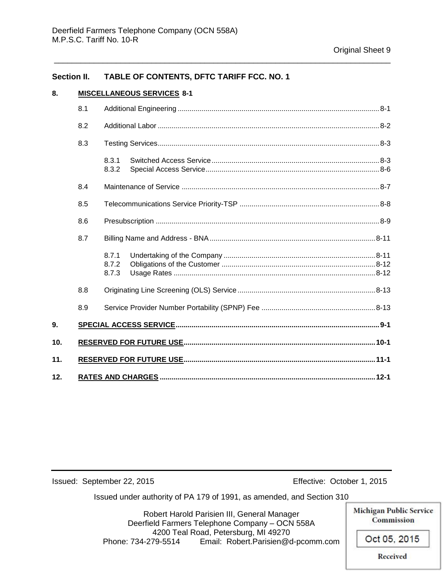#### **Section II. TABLE OF CONTENTS, DFTC TARIFF FCC. NO. 1**

#### **8. MISCELLANEOUS SERVICES 8-1**

|     | 8.1 |                         |  |  |
|-----|-----|-------------------------|--|--|
|     | 8.2 |                         |  |  |
|     | 8.3 |                         |  |  |
|     |     | 8.3.1<br>8.3.2          |  |  |
|     | 8.4 |                         |  |  |
|     | 8.5 |                         |  |  |
|     | 8.6 |                         |  |  |
|     | 8.7 |                         |  |  |
|     |     | 8.7.1<br>8.7.2<br>8.7.3 |  |  |
|     | 8.8 |                         |  |  |
|     | 8.9 |                         |  |  |
| 9.  |     |                         |  |  |
| 10. |     |                         |  |  |
| 11. |     |                         |  |  |
| 12. |     |                         |  |  |

\_\_\_\_\_\_\_\_\_\_\_\_\_\_\_\_\_\_\_\_\_\_\_\_\_\_\_\_\_\_\_\_\_\_\_\_\_\_\_\_\_\_\_\_\_\_\_\_\_\_\_\_\_\_\_\_\_\_\_\_\_\_\_\_\_\_\_\_\_\_\_\_\_\_\_\_

Issued: September 22, 2015 Effective: October 1, 2015

Issued under authority of PA 179 of 1991, as amended, and Section 310

Robert Harold Parisien III, General Manager Deerfield Farmers Telephone Company – OCN 558A 4200 Teal Road, Petersburg, MI 49270 Phone: 734-279-5514 Email: Robert.Parisien@d-pcomm.com

**Michigan Public Service** Commission Oct 05, 2015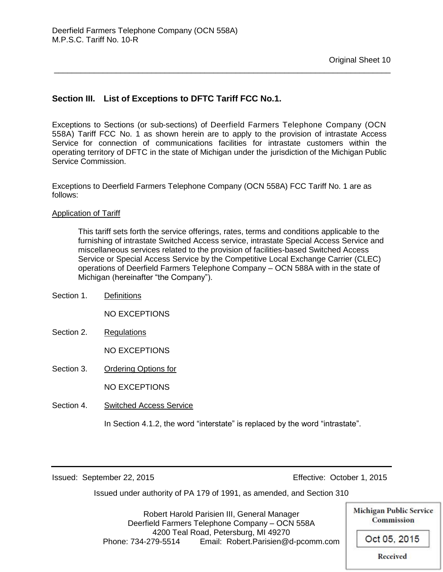## **Section III. List of Exceptions to DFTC Tariff FCC No.1.**

Exceptions to Sections (or sub-sections) of Deerfield Farmers Telephone Company (OCN 558A) Tariff FCC No. 1 as shown herein are to apply to the provision of intrastate Access Service for connection of communications facilities for intrastate customers within the operating territory of DFTC in the state of Michigan under the jurisdiction of the Michigan Public Service Commission.

\_\_\_\_\_\_\_\_\_\_\_\_\_\_\_\_\_\_\_\_\_\_\_\_\_\_\_\_\_\_\_\_\_\_\_\_\_\_\_\_\_\_\_\_\_\_\_\_\_\_\_\_\_\_\_\_\_\_\_\_\_\_\_\_\_\_\_\_\_\_\_\_\_\_\_\_

Exceptions to Deerfield Farmers Telephone Company (OCN 558A) FCC Tariff No. 1 are as follows:

Application of Tariff

This tariff sets forth the service offerings, rates, terms and conditions applicable to the furnishing of intrastate Switched Access service, intrastate Special Access Service and miscellaneous services related to the provision of facilities-based Switched Access Service or Special Access Service by the Competitive Local Exchange Carrier (CLEC) operations of Deerfield Farmers Telephone Company – OCN 588A with in the state of Michigan (hereinafter "the Company").

Section 1. Definitions

NO EXCEPTIONS

Section 2. Regulations

NO EXCEPTIONS

Section 3. Ordering Options for

NO EXCEPTIONS

Section 4. Switched Access Service

In Section 4.1.2, the word "interstate" is replaced by the word "intrastate".

Issued: September 22, 2015 Effective: October 1, 2015

Issued under authority of PA 179 of 1991, as amended, and Section 310

Robert Harold Parisien III, General Manager Deerfield Farmers Telephone Company – OCN 558A 4200 Teal Road, Petersburg, MI 49270 Phone: 734-279-5514 Email: Robert.Parisien@d-pcomm.com

**Michigan Public Service** Commission

Oct 05, 2015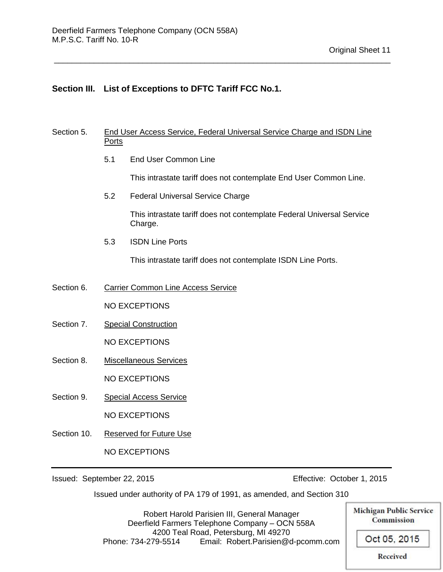#### **Section III. List of Exceptions to DFTC Tariff FCC No.1.**

#### Section 5. End User Access Service, Federal Universal Service Charge and ISDN Line Ports

\_\_\_\_\_\_\_\_\_\_\_\_\_\_\_\_\_\_\_\_\_\_\_\_\_\_\_\_\_\_\_\_\_\_\_\_\_\_\_\_\_\_\_\_\_\_\_\_\_\_\_\_\_\_\_\_\_\_\_\_\_\_\_\_\_\_\_\_\_\_\_\_\_\_\_\_

5.1 End User Common Line

This intrastate tariff does not contemplate End User Common Line.

5.2 Federal Universal Service Charge

This intrastate tariff does not contemplate Federal Universal Service Charge.

5.3 ISDN Line Ports

This intrastate tariff does not contemplate ISDN Line Ports.

Section 6. Carrier Common Line Access Service

NO EXCEPTIONS

Section 7. Special Construction

NO EXCEPTIONS

Section 8. Miscellaneous Services

NO EXCEPTIONS

Section 9. Special Access Service

NO EXCEPTIONS

Section 10. Reserved for Future Use

NO EXCEPTIONS

Issued: September 22, 2015 Effective: October 1, 2015

Issued under authority of PA 179 of 1991, as amended, and Section 310

**Michigan Public Service** Robert Harold Parisien III, General Manager Deerfield Farmers Telephone Company – OCN 558A 4200 Teal Road, Petersburg, MI 49270 Phone: 734-279-5514 Email: Robert.Parisien@d-pcomm.com

Oct 05, 2015

**Commission**